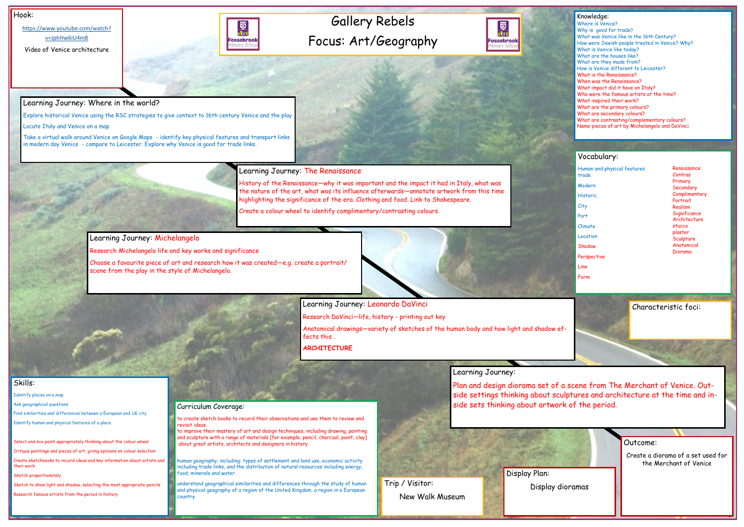## Gallery Rebels Focus: Art/Geography



### Hook:

[https://www.youtube.com/watch?](https://www.youtube.com/watch?v=JphHw6iU4m8) [v=JphHw6iU4m8](https://www.youtube.com/watch?v=JphHw6iU4m8)

Video of Venice architecture



Outcome: Create a diorama of a set used for the Merchant of Venice

## Skills:

Identify places on a map

Ask geographical questions

Find similarities and differences between a European and UK city

Identify human and physical features of a place

Select and mix paint appropriately thinking about the colour wheel

Critique paintings and pieces of art, giving opinions on colour selection

Create sketchbooks to record ideas and key information about artists and their work

Sketch proportionately

Sketch to show light and shadow, selecting the most appropriate pencils

Research famous artists from the period in history

## Learning Journey: Where in the world?

Explore historical Venice using the RSC strategies to give context to 16th century Venice and the play

Locate Italy and Venice on a map.

Take a virtual walk around Venice on Google Maps - identify key physical features and transport links in modern day Venice - compare to Leicester. Explore why Venice is good for trade links.

Learning Journey: The Renaissance

History of the Renaissance—why it was important and the impact it had in Italy, what was the nature of the art, what was its influence afterwards—annotate artwork from this time highlighting the significance of the era. Clothing and food. Link to Shakespeare.

| Knowledge:<br>Where is Venice?<br>Why is good for trade?<br>What was Venice like in the 16th Century?<br>What is Venice like today?<br>What are the houses like?<br>What are they made from?<br>How is Venice different to Leicester?<br>What is the Renaissance?<br>When was the Renaissance?<br>What impact did it have on Italy?<br>Who were the famous artists at the time?<br>What inspired their work?<br>What are the primary colours?<br>What are secondary colours? | How were Jewish people treated in Venice? Why?<br>What are contrasting/complementary colours?<br>Name pieces of art by Michelangelo and DaVinci.                                  |
|------------------------------------------------------------------------------------------------------------------------------------------------------------------------------------------------------------------------------------------------------------------------------------------------------------------------------------------------------------------------------------------------------------------------------------------------------------------------------|-----------------------------------------------------------------------------------------------------------------------------------------------------------------------------------|
| Vocabulary:<br>Human and physical features<br>trade<br>Modern<br><b>Historic</b><br>City<br>Port<br>Climate<br>Location<br>Shadow<br>Perspective<br>Line<br>Form                                                                                                                                                                                                                                                                                                             | Renaissance<br>Contras<br>Primary<br>Secondary<br>Complimentary<br>Portrait<br>Realism<br>Significance<br>Architecture<br>stucco<br>plaster<br>Sculpture<br>Anatomical<br>Diorama |
|                                                                                                                                                                                                                                                                                                                                                                                                                                                                              | Characteristic foci:<br>scene from The Merchant of Venice, Out-<br>ptures and architecture at the time and in-                                                                    |

Create a colour wheel to identify complimentary/contrasting colours.

Learning Journey: Michelangelo

Research Michelangelo life and key works and significance

Choose a favourite piece of art and research how it was created—e.g. create a portrait/ scene from the play in the style of Michelangelo.



Research DaVinci—life, history - printing out key

Anatomical drawings—variety of sketches of the human body and how light and shadow effects this .

**ARCHITECTURE** 

## Learning Journey:

Plan and design diorama set of a side settings thinking about scul Curriculum Coverage: side sets thinking about artwork of the period.

to create sketch books to record their observations and use them to review and revisit ideas

to improve their mastery of art and design techniques, including drawing, painting and sculpture with a range of materials [for example, pencil, charcoal, paint, clay] about great artists, architects and designers in history.

human geography, including: types of settlement and land use, economic activity including trade links, and the distribution of natural resources including energy, food, minerals and water

understand geographical similarities and differences through the study of human and physical geography of a region of the United Kingdom, a region in a European country

Display Plan: